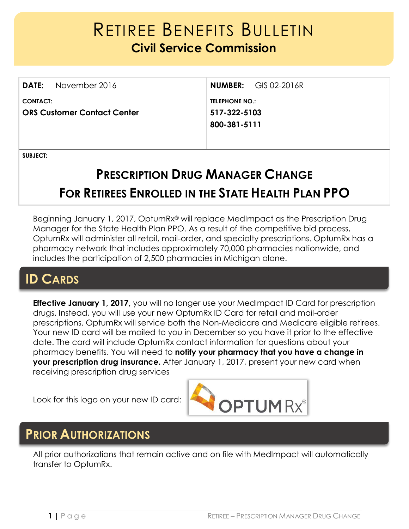# RETIREE BENEFITS BULLETIN **Civil Service Commission**

|                                                       | <b>DATE:</b> November 2016 |                                                       | <b>NUMBER:</b> GIS 02-2016R |
|-------------------------------------------------------|----------------------------|-------------------------------------------------------|-----------------------------|
| <b>CONTACT:</b><br><b>ORS Customer Contact Center</b> |                            | <b>TELEPHONE NO.:</b><br>517-322-5103<br>800-381-5111 |                             |

**SUBJECT:** 

# **PRESCRIPTION DRUG MANAGER CHANGE FOR RETIREES ENROLLED IN THE STATE HEALTH PLAN PPO**

Beginning January 1, 2017, OptumRx® will replace MedImpact as the Prescription Drug Manager for the State Health Plan PPO. As a result of the competitive bid process, OptumRx will administer all retail, mail-order, and specialty prescriptions. OptumRx has a pharmacy network that includes approximately 70,000 pharmacies nationwide, and includes the participation of 2,500 pharmacies in Michigan alone.

## **ID CARDS**

**Effective January 1, 2017,** you will no longer use your MedImpact ID Card for prescription drugs. Instead, you will use your new OptumRx ID Card for retail and mail-order prescriptions. OptumRx will service both the Non-Medicare and Medicare eligible retirees. Your new ID card will be mailed to you in December so you have it prior to the effective date. The card will include OptumRx contact information for questions about your pharmacy benefits. You will need to **notify your pharmacy that you have a change in your prescription drug insurance.** After January 1, 2017, present your new card when receiving prescription drug services

Look for this logo on your new ID card:



### **PRIOR AUTHORIZATIONS**

All prior authorizations that remain active and on file with MedImpact will automatically transfer to OptumRx.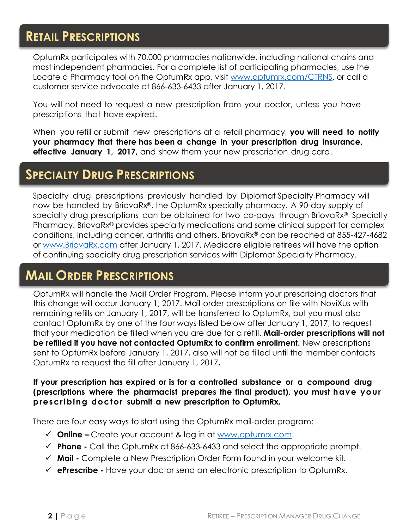### **RETAIL PRESCRIPTIONS**

OptumRx participates with 70,000 pharmacies nationwide, including national chains and most independent pharmacies. For a complete list of participating pharmacies, use the Locate a Pharmacy tool on the OptumRx app, visit [www.optumrx.com/CTRNS,](http://www.optumrx.com/CTRNS) or call a customer service advocate at 866-633-6433 after January 1, 2017.

You will not need to request a new prescription from your doctor, unless you have prescriptions that have expired.

When you refill or submit new prescriptions at a retail pharmacy, **you will need to notify your pharmacy that there has been a change in your prescription drug insurance, effective January 1, 2017,** and show them your new prescription drug card.

### **SPECIALTY DRUG PRESCRIPTIONS**

Specialty drug prescriptions previously handled by Diplomat Specialty Pharmacy will now be handled by BriovaRx®, the OptumRx specialty pharmacy. A 90-day supply of specialty drug prescriptions can be obtained for two co-pays through BriovaRx® Specialty Pharmacy. BriovaRx® provides specialty medications and some clinical support for complex conditions, including cancer, arthritis and others. BriovaRx® can be reached at 855-427-4682 or [www.BriovaRx.com](http://www.briovarx.com/) after January 1, 2017. Medicare eligible retirees will have the option of continuing specialty drug prescription services with Diplomat Specialty Pharmacy.

### **MAIL ORDER PRESCRIPTIONS**

OptumRx will handle the Mail Order Program. Please inform your prescribing doctors that this change will occur January 1, 2017. Mail-order prescriptions on file with NoviXus with remaining refills on January 1, 2017, will be transferred to OptumRx, but you must also contact OptumRx by one of the four ways listed below after January 1, 2017, to request that your medication be filled when you are due for a refill. **Mail-order prescriptions will not be refilled if you have not contacted OptumRx to confirm enrollment.** New prescriptions sent to OptumRx before January 1, 2017, also will not be filled until the member contacts OptumRx to request the fill after January 1, 2017**.** 

#### **If your prescription has expired or is for a controlled substance or a compound drug (prescriptions where the pharmacist prepares the final product), you must have your prescribing doctor submit a new prescription to OptumRx.**

There are four easy ways to start using the OptumRx mail-order program:

- **Online –** Create your account & log in at [www.optumrx.com.](http://www.optumrx.com/)
- **Phone -** Call the OptumRx at 866-633-6433 and select the appropriate prompt.
- **Mail -** Complete a New Prescription Order Form found in your welcome kit.
- **ePrescribe -** Have your doctor send an electronic prescription to OptumRx.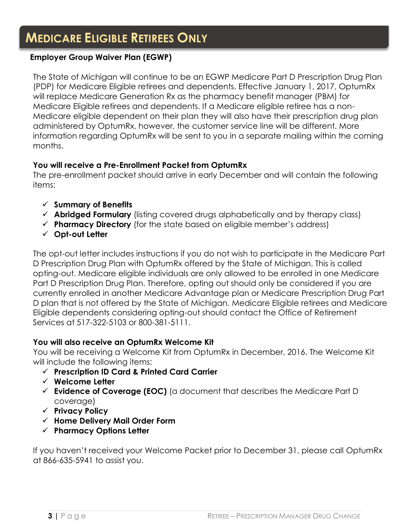### **MEDICARE ELIGIBLE RETIREES ONLY**

### **Employer Group Waiver Plan (EGWP)**

The State of Michigan will continue to be an EGWP Medicare Part D Prescription Drug Plan (PDP) for Medicare Eligible retirees and dependents. Effective January 1, 2017, OptumRx will replace Medicare Generation Rx as the pharmacy benefit manager (PBM) for Medicare Eligible retirees and dependents. If a Medicare eligible retiree has a non-Medicare eligible dependent on their plan they will also have their prescription drug plan administered by OptumRx, however, the customer service line will be different. More information regarding OptumRx will be sent to you in a separate mailing within the coming months.

#### **You will receive a Pre-Enrollment Packet from OptumRx**

The pre-enrollment packet should arrive in early December and will contain the following items:

- **Summary of Benefits**
- **Abridged Formulary** (listing covered drugs alphabetically and by therapy class)
- **Pharmacy Directory** (for the state based on eligible member's address)
- **Opt-out Letter**

The opt-out letter includes instructions if you do not wish to participate in the Medicare Part D Prescription Drug Plan with OptumRx offered by the State of Michigan. This is called opting-out. Medicare eligible individuals are only allowed to be enrolled in one Medicare Part D Prescription Drug Plan. Therefore, opting out should only be considered if you are currently enrolled in another Medicare Advantage plan or Medicare Prescription Drug Part D plan that is not offered by the State of Michigan. Medicare Eligible retirees and Medicare Eligible dependents considering opting-out should contact the Office of Retirement Services at 517-322-5103 or 800-381-5111.

#### **You will also receive an OptumRx Welcome Kit**

You will be receiving a Welcome Kit from OptumRx in December, 2016. The Welcome Kit will include the following items:

- **Prescription ID Card & Printed Card Carrier**
- **Welcome Letter**
- **Evidence of Coverage (EOC)** (a document that describes the Medicare Part D coverage)
- **Privacy Policy**
- **Home Delivery Mail Order Form**
- **Pharmacy Options Letter**

If you haven't received your Welcome Packet prior to December 31, please call OptumRx at 866-635-5941 to assist you.